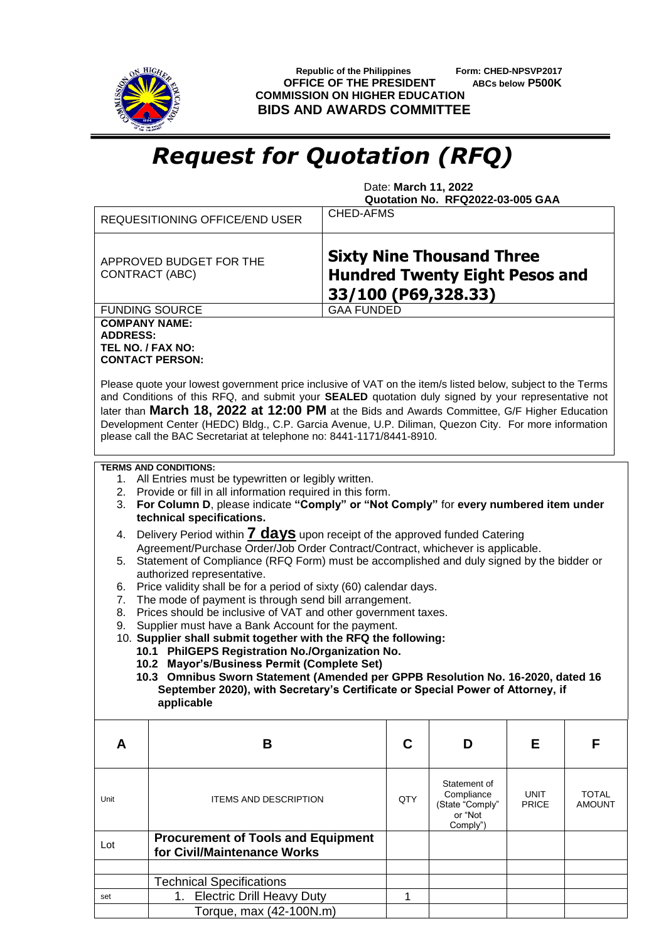

 **Republic of the Philippines Form: CHED-NPSVP2017 OFFICE OF THE PRESIDENT ABCs below P500K COMMISSION ON HIGHER EDUCATION BIDS AND AWARDS COMMITTEE**

## *Request for Quotation (RFQ)*

 Date: **March 11, 2022 Quotation No. RFQ2022-03-005 GAA**

|                                                                                                                                                                                                                                                                                   | <b>REQUESITIONING OFFICE/END USER</b>                                                                                                                                                                                                                                                     | CHED-AFMS                                                                                        |                                                                      |                             |                               |  |  |  |  |
|-----------------------------------------------------------------------------------------------------------------------------------------------------------------------------------------------------------------------------------------------------------------------------------|-------------------------------------------------------------------------------------------------------------------------------------------------------------------------------------------------------------------------------------------------------------------------------------------|--------------------------------------------------------------------------------------------------|----------------------------------------------------------------------|-----------------------------|-------------------------------|--|--|--|--|
|                                                                                                                                                                                                                                                                                   | APPROVED BUDGET FOR THE<br><b>CONTRACT (ABC)</b>                                                                                                                                                                                                                                          | <b>Sixty Nine Thousand Three</b><br><b>Hundred Twenty Eight Pesos and</b><br>33/100 (P69,328.33) |                                                                      |                             |                               |  |  |  |  |
|                                                                                                                                                                                                                                                                                   | <b>FUNDING SOURCE</b>                                                                                                                                                                                                                                                                     | <b>GAA FUNDED</b>                                                                                |                                                                      |                             |                               |  |  |  |  |
| <b>ADDRESS:</b>                                                                                                                                                                                                                                                                   | <b>COMPANY NAME:</b><br>TEL NO. / FAX NO:<br><b>CONTACT PERSON:</b><br>Please quote your lowest government price inclusive of VAT on the item/s listed below, subject to the Terms<br>and Conditions of this RFQ, and submit your SEALED quotation duly signed by your representative not |                                                                                                  |                                                                      |                             |                               |  |  |  |  |
| later than March 18, 2022 at 12:00 PM at the Bids and Awards Committee, G/F Higher Education<br>Development Center (HEDC) Bldg., C.P. Garcia Avenue, U.P. Diliman, Quezon City. For more information<br>please call the BAC Secretariat at telephone no: 8441-1171/8441-8910.     |                                                                                                                                                                                                                                                                                           |                                                                                                  |                                                                      |                             |                               |  |  |  |  |
| <b>TERMS AND CONDITIONS:</b><br>1. All Entries must be typewritten or legibly written.<br>2. Provide or fill in all information required in this form.<br>For Column D, please indicate "Comply" or "Not Comply" for every numbered item under<br>3.<br>technical specifications. |                                                                                                                                                                                                                                                                                           |                                                                                                  |                                                                      |                             |                               |  |  |  |  |
| 4.                                                                                                                                                                                                                                                                                | Delivery Period within <b>7 days</b> upon receipt of the approved funded Catering                                                                                                                                                                                                         |                                                                                                  |                                                                      |                             |                               |  |  |  |  |
| Agreement/Purchase Order/Job Order Contract/Contract, whichever is applicable.                                                                                                                                                                                                    |                                                                                                                                                                                                                                                                                           |                                                                                                  |                                                                      |                             |                               |  |  |  |  |
| Statement of Compliance (RFQ Form) must be accomplished and duly signed by the bidder or<br>5.<br>authorized representative.                                                                                                                                                      |                                                                                                                                                                                                                                                                                           |                                                                                                  |                                                                      |                             |                               |  |  |  |  |
| Price validity shall be for a period of sixty (60) calendar days.<br>6.                                                                                                                                                                                                           |                                                                                                                                                                                                                                                                                           |                                                                                                  |                                                                      |                             |                               |  |  |  |  |
| 7.                                                                                                                                                                                                                                                                                | The mode of payment is through send bill arrangement.                                                                                                                                                                                                                                     |                                                                                                  |                                                                      |                             |                               |  |  |  |  |
| 8.                                                                                                                                                                                                                                                                                | Prices should be inclusive of VAT and other government taxes.                                                                                                                                                                                                                             |                                                                                                  |                                                                      |                             |                               |  |  |  |  |
| 9.                                                                                                                                                                                                                                                                                | Supplier must have a Bank Account for the payment.<br>10. Supplier shall submit together with the RFQ the following:                                                                                                                                                                      |                                                                                                  |                                                                      |                             |                               |  |  |  |  |
|                                                                                                                                                                                                                                                                                   | 10.1 PhilGEPS Registration No./Organization No.                                                                                                                                                                                                                                           |                                                                                                  |                                                                      |                             |                               |  |  |  |  |
|                                                                                                                                                                                                                                                                                   | 10.2 Mayor's/Business Permit (Complete Set)                                                                                                                                                                                                                                               |                                                                                                  |                                                                      |                             |                               |  |  |  |  |
|                                                                                                                                                                                                                                                                                   | 10.3 Omnibus Sworn Statement (Amended per GPPB Resolution No. 16-2020, dated 16                                                                                                                                                                                                           |                                                                                                  |                                                                      |                             |                               |  |  |  |  |
| September 2020), with Secretary's Certificate or Special Power of Attorney, if<br>applicable                                                                                                                                                                                      |                                                                                                                                                                                                                                                                                           |                                                                                                  |                                                                      |                             |                               |  |  |  |  |
| A                                                                                                                                                                                                                                                                                 | B                                                                                                                                                                                                                                                                                         | C                                                                                                | D                                                                    | Е                           | F                             |  |  |  |  |
| Unit                                                                                                                                                                                                                                                                              | <b>ITEMS AND DESCRIPTION</b>                                                                                                                                                                                                                                                              | QTY                                                                                              | Statement of<br>Compliance<br>(State "Comply"<br>or "Not<br>Comply") | <b>UNIT</b><br><b>PRICE</b> | <b>TOTAL</b><br><b>AMOUNT</b> |  |  |  |  |
| Lot                                                                                                                                                                                                                                                                               | <b>Procurement of Tools and Equipment</b><br>for Civil/Maintenance Works                                                                                                                                                                                                                  |                                                                                                  |                                                                      |                             |                               |  |  |  |  |
|                                                                                                                                                                                                                                                                                   |                                                                                                                                                                                                                                                                                           |                                                                                                  |                                                                      |                             |                               |  |  |  |  |
|                                                                                                                                                                                                                                                                                   | <b>Technical Specifications</b>                                                                                                                                                                                                                                                           |                                                                                                  |                                                                      |                             |                               |  |  |  |  |
| set                                                                                                                                                                                                                                                                               | <b>Electric Drill Heavy Duty</b><br>1.                                                                                                                                                                                                                                                    | 1                                                                                                |                                                                      |                             |                               |  |  |  |  |
|                                                                                                                                                                                                                                                                                   | Torque, max (42-100N.m)                                                                                                                                                                                                                                                                   |                                                                                                  |                                                                      |                             |                               |  |  |  |  |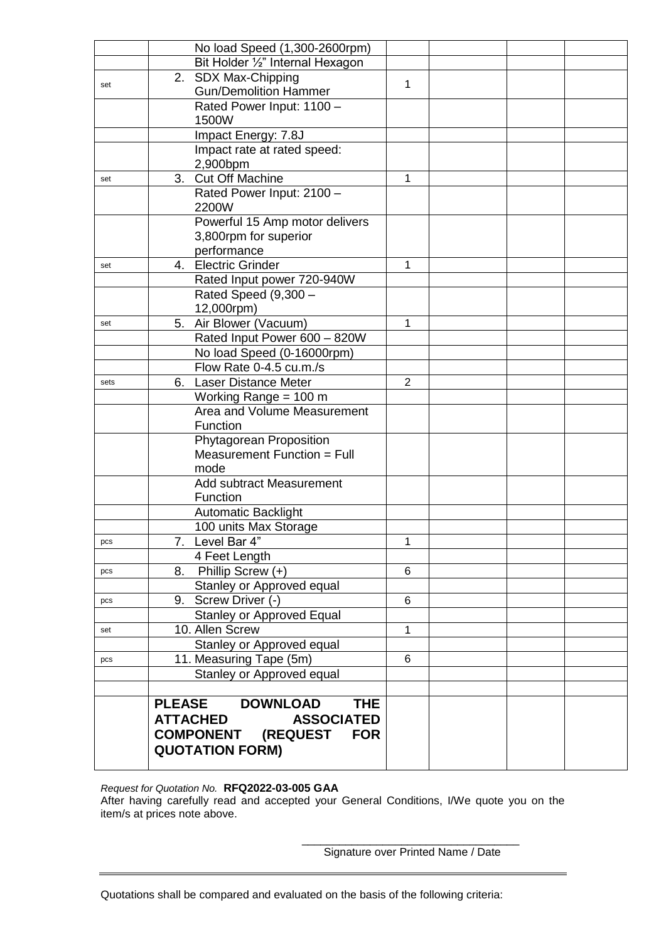|      | No load Speed (1,300-2600rpm)                  |                |  |  |
|------|------------------------------------------------|----------------|--|--|
|      | Bit Holder 1/2" Internal Hexagon               |                |  |  |
|      | 2. SDX Max-Chipping                            |                |  |  |
| set  | <b>Gun/Demolition Hammer</b>                   | 1              |  |  |
|      | Rated Power Input: 1100 -                      |                |  |  |
|      | 1500W                                          |                |  |  |
|      | Impact Energy: 7.8J                            |                |  |  |
|      | Impact rate at rated speed:                    |                |  |  |
|      | 2,900bpm                                       |                |  |  |
| set  | Cut Off Machine<br>3.                          | 1              |  |  |
|      | Rated Power Input: 2100 -                      |                |  |  |
|      | 2200W                                          |                |  |  |
|      | Powerful 15 Amp motor delivers                 |                |  |  |
|      | 3,800rpm for superior                          |                |  |  |
|      | performance                                    |                |  |  |
| set  | 4. Electric Grinder                            | 1              |  |  |
|      | Rated Input power 720-940W                     |                |  |  |
|      | Rated Speed (9,300 -                           |                |  |  |
|      | 12,000rpm)                                     |                |  |  |
| set  | Air Blower (Vacuum)<br>5.                      | 1              |  |  |
|      | Rated Input Power 600 - 820W                   |                |  |  |
|      | No load Speed (0-16000rpm)                     |                |  |  |
|      | Flow Rate 0-4.5 cu.m./s                        |                |  |  |
| sets | <b>Laser Distance Meter</b><br>6.              | $\overline{2}$ |  |  |
|      | Working Range = 100 m                          |                |  |  |
|      | Area and Volume Measurement<br>Function        |                |  |  |
|      | Phytagorean Proposition                        |                |  |  |
|      | Measurement Function = Full                    |                |  |  |
|      | mode                                           |                |  |  |
|      | <b>Add subtract Measurement</b>                |                |  |  |
|      | Function                                       |                |  |  |
|      | Automatic Backlight                            |                |  |  |
|      | 100 units Max Storage                          |                |  |  |
| pcs  | 7. Level Bar 4"                                | 1              |  |  |
|      | 4 Feet Length                                  |                |  |  |
| pcs  | Phillip Screw $(+)$<br>8.                      | 6              |  |  |
|      | Stanley or Approved equal                      |                |  |  |
| pcs  | 9. Screw Driver (-)                            | 6              |  |  |
|      | <b>Stanley or Approved Equal</b>               |                |  |  |
| set  | 10. Allen Screw                                | 1              |  |  |
|      | Stanley or Approved equal                      |                |  |  |
| pcs  | 11. Measuring Tape (5m)                        | 6              |  |  |
|      | Stanley or Approved equal                      |                |  |  |
|      |                                                |                |  |  |
|      | <b>PLEASE</b><br><b>DOWNLOAD</b><br><b>THE</b> |                |  |  |
|      | <b>ATTACHED</b><br><b>ASSOCIATED</b>           |                |  |  |
|      | <b>COMPONENT (REQUEST</b><br><b>FOR</b>        |                |  |  |
|      | <b>QUOTATION FORM)</b>                         |                |  |  |
|      |                                                |                |  |  |

*Request for Quotation No.* **RFQ2022-03-005 GAA** After having carefully read and accepted your General Conditions, I/We quote you on the item/s at prices note above.

> \_\_\_\_\_\_\_\_\_\_\_\_\_\_\_\_\_\_\_\_\_\_\_\_\_\_\_\_\_\_\_\_\_\_\_ Signature over Printed Name / Date